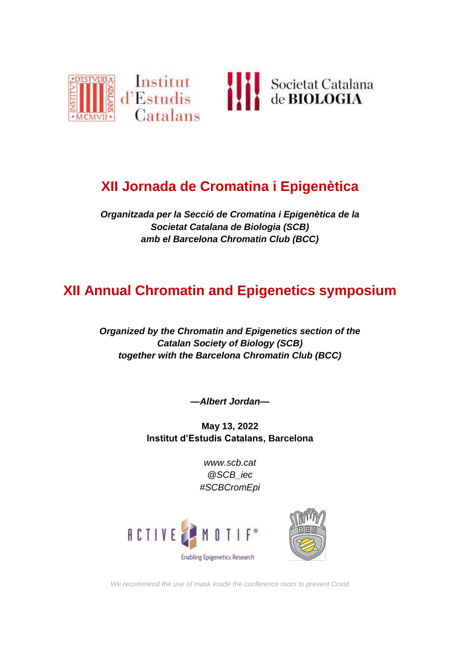

# **XII Jornada de Cromatina i Epigenètica**

*Organitzada per la Secció de Cromatina i Epigenètica de la Societat Catalana de Biologia (SCB) amb el Barcelona Chromatin Club (BCC)*

# **XII Annual Chromatin and Epigenetics symposium**

*Organized by the Chromatin and Epigenetics section of the Catalan Society of Biology (SCB) together with the Barcelona Chromatin Club (BCC)*

*—Albert Jordan—*

**May 13, 2022 Institut d'Estudis Catalans, Barcelona**

> *[www.scb.cat](http://www.scb.cat/) @SCB\_iec #SCBCromEpi*





*We recommend the use of mask inside the conference room to prevent Covid*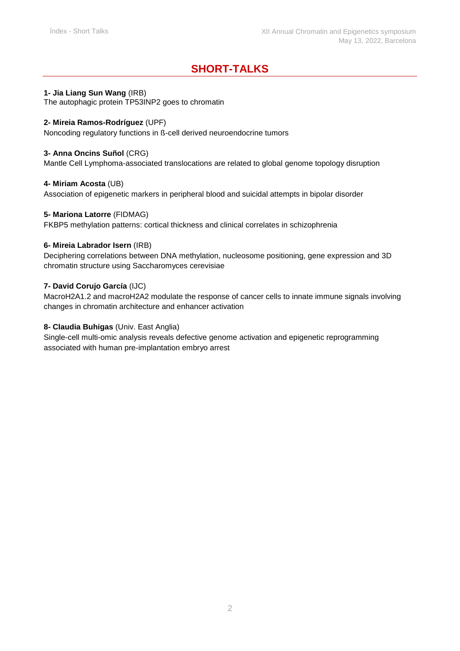## **SHORT-TALKS**

#### **1- Jia Liang Sun Wang** (IRB)

The autophagic protein TP53INP2 goes to chromatin

#### **2- Mireia Ramos-Rodríguez** (UPF)

Noncoding regulatory functions in ß-cell derived neuroendocrine tumors

#### **3- Anna Oncins Suñol** (CRG)

Mantle Cell Lymphoma-associated translocations are related to global genome topology disruption

#### **4- Miriam Acosta** (UB)

Association of epigenetic markers in peripheral blood and suicidal attempts in bipolar disorder

#### **5- Mariona Latorre** (FIDMAG)

FKBP5 methylation patterns: cortical thickness and clinical correlates in schizophrenia

#### **6- Mireia Labrador Isern** (IRB)

Deciphering correlations between DNA methylation, nucleosome positioning, gene expression and 3D chromatin structure using Saccharomyces cerevisiae

#### **7- David Corujo García** (IJC)

MacroH2A1.2 and macroH2A2 modulate the response of cancer cells to innate immune signals involving changes in chromatin architecture and enhancer activation

#### **8- Claudia Buhigas** (Univ. East Anglia)

Single-cell multi-omic analysis reveals defective genome activation and epigenetic reprogramming associated with human pre-implantation embryo arrest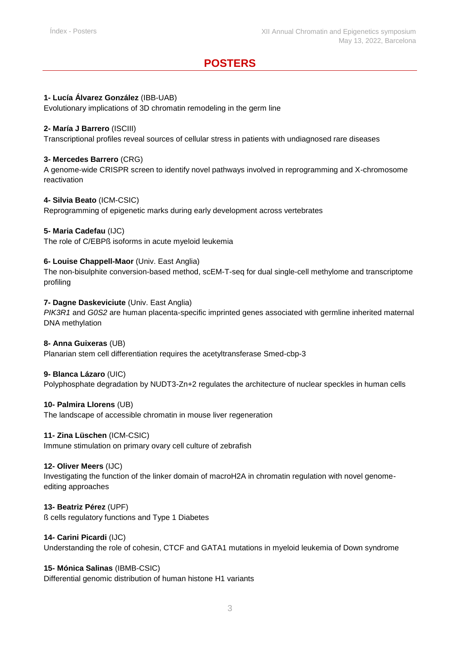## **POSTERS**

#### **1- Lucía Álvarez González** (IBB-UAB)

Evolutionary implications of 3D chromatin remodeling in the germ line

#### **2- María J Barrero** (ISCIII)

Transcriptional profiles reveal sources of cellular stress in patients with undiagnosed rare diseases

#### **3- Mercedes Barrero** (CRG)

A genome-wide CRISPR screen to identify novel pathways involved in reprogramming and X-chromosome reactivation

#### **4- Silvia Beato** (ICM-CSIC)

Reprogramming of epigenetic marks during early development across vertebrates

#### **5- Maria Cadefau** (IJC)

The role of C/EBPß isoforms in acute myeloid leukemia

#### **6- Louise Chappell-Maor** (Univ. East Anglia)

The non-bisulphite conversion-based method, scEM-T-seq for dual single-cell methylome and transcriptome profiling

#### **7- Dagne Daskeviciute** (Univ. East Anglia)

*PIK3R1* and *G0S2* are human placenta-specific imprinted genes associated with germline inherited maternal DNA methylation

#### **8- Anna Guixeras** (UB)

Planarian stem cell differentiation requires the acetyltransferase Smed-cbp-3

#### **9- Blanca Lázaro** (UIC)

Polyphosphate degradation by NUDT3-Zn+2 regulates the architecture of nuclear speckles in human cells

#### **10- Palmira Llorens** (UB)

The landscape of accessible chromatin in mouse liver regeneration

#### **11- Zina Lüschen** (ICM-CSIC)

Immune stimulation on primary ovary cell culture of zebrafish

#### **12- Oliver Meers** (IJC)

Investigating the function of the linker domain of macroH2A in chromatin regulation with novel genomeediting approaches

#### **13- Beatriz Pérez** (UPF)

ß cells regulatory functions and Type 1 Diabetes

#### **14- Carini Picardi** (IJC)

Understanding the role of cohesin, CTCF and GATA1 mutations in myeloid leukemia of Down syndrome

#### **15- Mónica Salinas** (IBMB-CSIC)

Differential genomic distribution of human histone H1 variants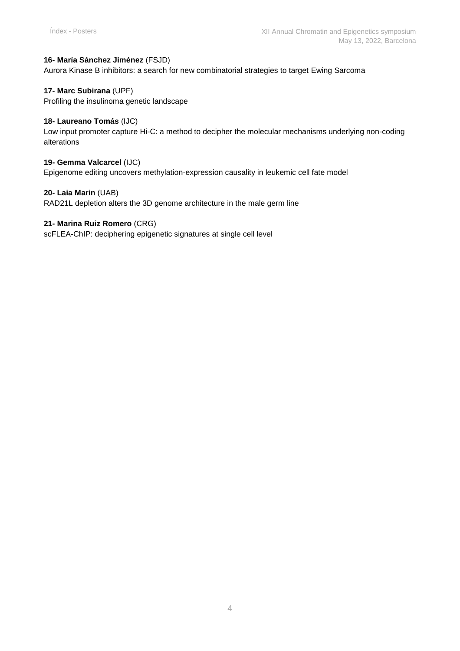#### **16- María Sánchez Jiménez** (FSJD)

Aurora Kinase B inhibitors: a search for new combinatorial strategies to target Ewing Sarcoma

#### **17- Marc Subirana** (UPF)

Profiling the insulinoma genetic landscape

#### **18- Laureano Tomás** (IJC)

Low input promoter capture Hi-C: a method to decipher the molecular mechanisms underlying non-coding alterations

#### **19- Gemma Valcarcel** (IJC)

Epigenome editing uncovers methylation-expression causality in leukemic cell fate model

#### **20- Laia Marin** (UAB)

RAD21L depletion alters the 3D genome architecture in the male germ line

#### **21- Marina Ruiz Romero** (CRG)

scFLEA-ChIP: deciphering epigenetic signatures at single cell level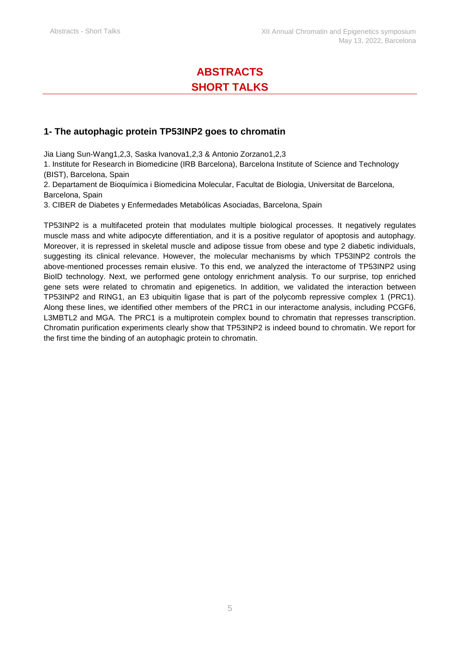# **ABSTRACTS SHORT TALKS**

### **1- The autophagic protein TP53INP2 goes to chromatin**

Jia Liang Sun-Wang1,2,3, Saska Ivanova1,2,3 & Antonio Zorzano1,2,3

1. Institute for Research in Biomedicine (IRB Barcelona), Barcelona Institute of Science and Technology (BIST), Barcelona, Spain

2. Departament de Bioquímica i Biomedicina Molecular, Facultat de Biologia, Universitat de Barcelona, Barcelona, Spain

3. CIBER de Diabetes y Enfermedades Metabólicas Asociadas, Barcelona, Spain

TP53INP2 is a multifaceted protein that modulates multiple biological processes. It negatively regulates muscle mass and white adipocyte differentiation, and it is a positive regulator of apoptosis and autophagy. Moreover, it is repressed in skeletal muscle and adipose tissue from obese and type 2 diabetic individuals, suggesting its clinical relevance. However, the molecular mechanisms by which TP53INP2 controls the above-mentioned processes remain elusive. To this end, we analyzed the interactome of TP53INP2 using BioID technology. Next, we performed gene ontology enrichment analysis. To our surprise, top enriched gene sets were related to chromatin and epigenetics. In addition, we validated the interaction between TP53INP2 and RING1, an E3 ubiquitin ligase that is part of the polycomb repressive complex 1 (PRC1). Along these lines, we identified other members of the PRC1 in our interactome analysis, including PCGF6, L3MBTL2 and MGA. The PRC1 is a multiprotein complex bound to chromatin that represses transcription. Chromatin purification experiments clearly show that TP53INP2 is indeed bound to chromatin. We report for the first time the binding of an autophagic protein to chromatin.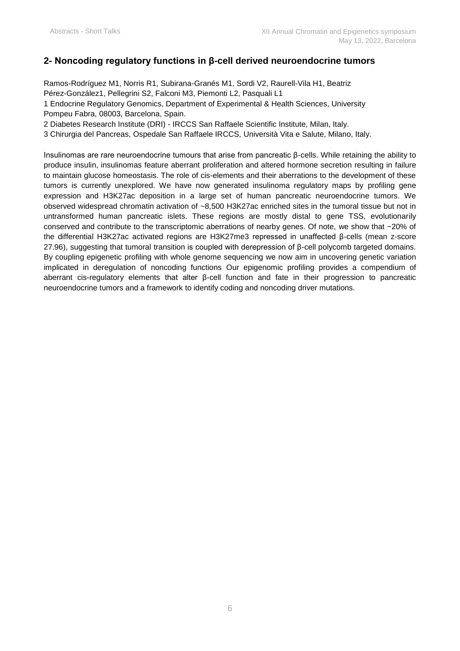## **2- Noncoding regulatory functions in β-cell derived neuroendocrine tumors**

Ramos-Rodríguez M1, Norris R1, Subirana-Granés M1, Sordi V2, Raurell-Vila H1, Beatriz Pérez-González1, Pellegrini S2, Falconi M3, Piemonti L2, Pasquali L1 1 Endocrine Regulatory Genomics, Department of Experimental & Health Sciences, University Pompeu Fabra, 08003, Barcelona, Spain.

2 Diabetes Research Institute (DRI) - IRCCS San Raffaele Scientific Institute, Milan, Italy.

3 Chirurgia del Pancreas, Ospedale San Raffaele IRCCS, Università Vita e Salute, Milano, Italy.

Insulinomas are rare neuroendocrine tumours that arise from pancreatic β-cells. While retaining the ability to produce insulin, insulinomas feature aberrant proliferation and altered hormone secretion resulting in failure to maintain glucose homeostasis. The role of cis-elements and their aberrations to the development of these tumors is currently unexplored. We have now generated insulinoma regulatory maps by profiling gene expression and H3K27ac deposition in a large set of human pancreatic neuroendocrine tumors. We observed widespread chromatin activation of ~8,500 H3K27ac enriched sites in the tumoral tissue but not in untransformed human pancreatic islets. These regions are mostly distal to gene TSS, evolutionarily conserved and contribute to the transcriptomic aberrations of nearby genes. Of note, we show that ~20% of the differential H3K27ac activated regions are H3K27me3 repressed in unaffected β-cells (mean z-score 27.96), suggesting that tumoral transition is coupled with derepression of β-cell polycomb targeted domains. By coupling epigenetic profiling with whole genome sequencing we now aim in uncovering genetic variation implicated in deregulation of noncoding functions Our epigenomic profiling provides a compendium of aberrant cis-regulatory elements that alter β-cell function and fate in their progression to pancreatic neuroendocrine tumors and a framework to identify coding and noncoding driver mutations.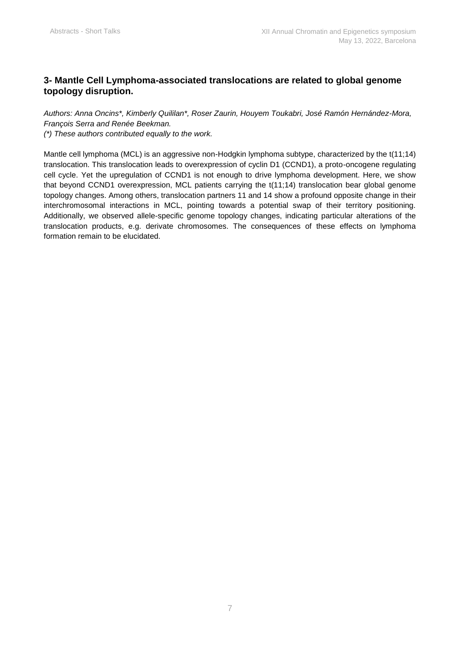## **3- Mantle Cell Lymphoma-associated translocations are related to global genome topology disruption.**

*Authors: Anna Oncins\*, Kimberly Quililan\*, Roser Zaurin, Houyem Toukabri, José Ramón Hernández-Mora, François Serra and Renée Beekman. (\*) These authors contributed equally to the work.* 

Mantle cell lymphoma (MCL) is an aggressive non-Hodgkin lymphoma subtype, characterized by the t(11;14) translocation. This translocation leads to overexpression of cyclin D1 (CCND1), a proto-oncogene regulating cell cycle. Yet the upregulation of CCND1 is not enough to drive lymphoma development. Here, we show that beyond CCND1 overexpression, MCL patients carrying the t(11;14) translocation bear global genome topology changes. Among others, translocation partners 11 and 14 show a profound opposite change in their interchromosomal interactions in MCL, pointing towards a potential swap of their territory positioning. Additionally, we observed allele-specific genome topology changes, indicating particular alterations of the translocation products, e.g. derivate chromosomes. The consequences of these effects on lymphoma formation remain to be elucidated.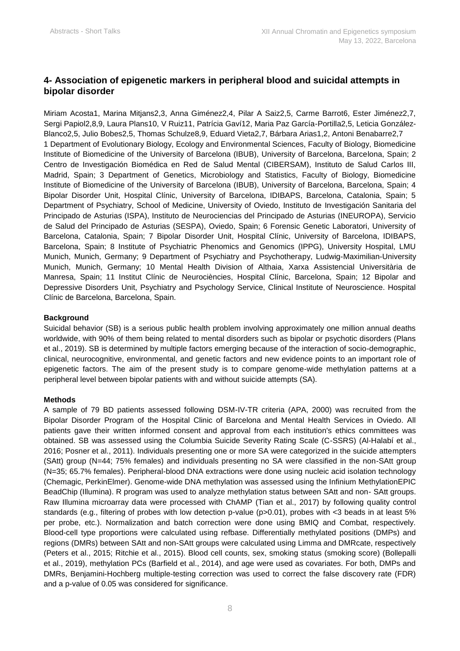## **4- Association of epigenetic markers in peripheral blood and suicidal attempts in bipolar disorder**

Miriam Acosta1, Marina Mitjans2,3, Anna Giménez2,4, Pilar A Saiz2,5, Carme Barrot6, Ester Jiménez2,7, Sergi Papiol2,8,9, Laura Plans10, V Ruiz11, Patrícia Gaví12, Maria Paz García-Portilla2,5, Leticia González-Blanco2,5, Julio Bobes2,5, Thomas Schulze8,9, Eduard Vieta2,7, Bárbara Arias1,2, Antoni Benabarre2,7 1 Department of Evolutionary Biology, Ecology and Environmental Sciences, Faculty of Biology, Biomedicine Institute of Biomedicine of the University of Barcelona (IBUB), University of Barcelona, Barcelona, Spain; 2 Centro de Investigación Biomédica en Red de Salud Mental (CIBERSAM), Instituto de Salud Carlos III, Madrid, Spain; 3 Department of Genetics, Microbiology and Statistics, Faculty of Biology, Biomedicine Institute of Biomedicine of the University of Barcelona (IBUB), University of Barcelona, Barcelona, Spain; 4 Bipolar Disorder Unit, Hospital Clínic, University of Barcelona, IDIBAPS, Barcelona, Catalonia, Spain; 5 Department of Psychiatry, School of Medicine, University of Oviedo, Instituto de Investigación Sanitaria del Principado de Asturias (ISPA), Instituto de Neurociencias del Principado de Asturias (INEUROPA), Servicio de Salud del Principado de Asturias (SESPA), Oviedo, Spain; 6 Forensic Genetic Laboratori, University of Barcelona, Catalonia, Spain; 7 Bipolar Disorder Unit, Hospital Clínic, University of Barcelona, IDIBAPS, Barcelona, Spain; 8 Institute of Psychiatric Phenomics and Genomics (IPPG), University Hospital, LMU Munich, Munich, Germany; 9 Department of Psychiatry and Psychotherapy, Ludwig-Maximilian-University Munich, Munich, Germany; 10 Mental Health Division of Althaia, Xarxa Assistencial Universitària de Manresa, Spain; 11 Institut Clínic de Neurociències, Hospital Clínic, Barcelona, Spain; 12 Bipolar and Depressive Disorders Unit, Psychiatry and Psychology Service, Clinical Institute of Neuroscience. Hospital Clínic de Barcelona, Barcelona, Spain.

#### **Background**

Suicidal behavior (SB) is a serious public health problem involving approximately one million annual deaths worldwide, with 90% of them being related to mental disorders such as bipolar or psychotic disorders (Plans et al., 2019). SB is determined by multiple factors emerging because of the interaction of socio-demographic, clinical, neurocognitive, environmental, and genetic factors and new evidence points to an important role of epigenetic factors. The aim of the present study is to compare genome-wide methylation patterns at a peripheral level between bipolar patients with and without suicide attempts (SA).

#### **Methods**

A sample of 79 BD patients assessed following DSM-IV-TR criteria (APA, 2000) was recruited from the Bipolar Disorder Program of the Hospital Clinic of Barcelona and Mental Health Services in Oviedo. All patients gave their written informed consent and approval from each institution's ethics committees was obtained. SB was assessed using the Columbia Suicide Severity Rating Scale (C-SSRS) (Al-Halabí et al., 2016; Posner et al., 2011). Individuals presenting one or more SA were categorized in the suicide attempters (SAtt) group (N=44; 75% females) and individuals presenting no SA were classified in the non-SAtt group (N=35; 65.7% females). Peripheral-blood DNA extractions were done using nucleic acid isolation technology (Chemagic, PerkinElmer). Genome-wide DNA methylation was assessed using the Infinium MethylationEPIC BeadChip (Illumina). R program was used to analyze methylation status between SAtt and non- SAtt groups. Raw Illumina microarray data were processed with ChAMP (Tian et al., 2017) by following quality control standards (e.g., filtering of probes with low detection p-value (p>0.01), probes with <3 beads in at least 5% per probe, etc.). Normalization and batch correction were done using BMIQ and Combat, respectively. Blood-cell type proportions were calculated using refbase. Differentially methylated positions (DMPs) and regions (DMRs) between SAtt and non-SAtt groups were calculated using Limma and DMRcate, respectively (Peters et al., 2015; Ritchie et al., 2015). Blood cell counts, sex, smoking status (smoking score) (Bollepalli et al., 2019), methylation PCs (Barfield et al., 2014), and age were used as covariates. For both, DMPs and DMRs, Benjamini-Hochberg multiple-testing correction was used to correct the false discovery rate (FDR) and a p-value of 0.05 was considered for significance.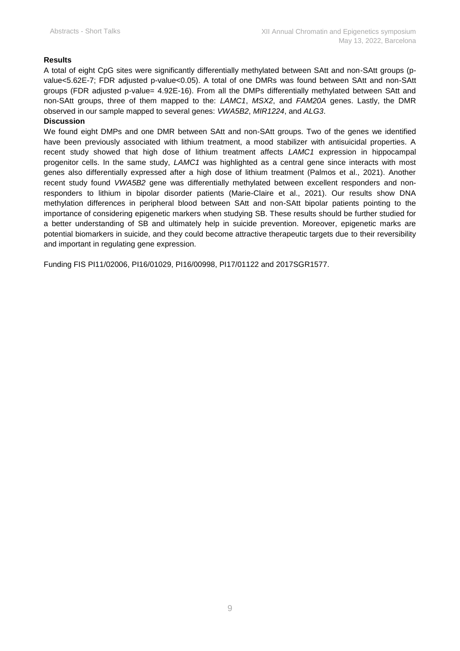#### **Results**

A total of eight CpG sites were significantly differentially methylated between SAtt and non-SAtt groups (pvalue<5.62E-7; FDR adjusted p-value<0.05). A total of one DMRs was found between SAtt and non-SAtt groups (FDR adjusted p-value= 4.92E-16). From all the DMPs differentially methylated between SAtt and non-SAtt groups, three of them mapped to the: *LAMC1*, *MSX2*, and *FAM20A* genes. Lastly, the DMR observed in our sample mapped to several genes: *VWA5B2*, *MIR1224*, and *ALG3*.

#### **Discussion**

We found eight DMPs and one DMR between SAtt and non-SAtt groups. Two of the genes we identified have been previously associated with lithium treatment, a mood stabilizer with antisuicidal properties. A recent study showed that high dose of lithium treatment affects *LAMC1* expression in hippocampal progenitor cells. In the same study, *LAMC1* was highlighted as a central gene since interacts with most genes also differentially expressed after a high dose of lithium treatment (Palmos et al., 2021). Another recent study found *VWA5B2* gene was differentially methylated between excellent responders and nonresponders to lithium in bipolar disorder patients (Marie-Claire et al., 2021). Our results show DNA methylation differences in peripheral blood between SAtt and non-SAtt bipolar patients pointing to the importance of considering epigenetic markers when studying SB. These results should be further studied for a better understanding of SB and ultimately help in suicide prevention. Moreover, epigenetic marks are potential biomarkers in suicide, and they could become attractive therapeutic targets due to their reversibility and important in regulating gene expression.

Funding FIS PI11/02006, PI16/01029, PI16/00998, PI17/01122 and 2017SGR1577.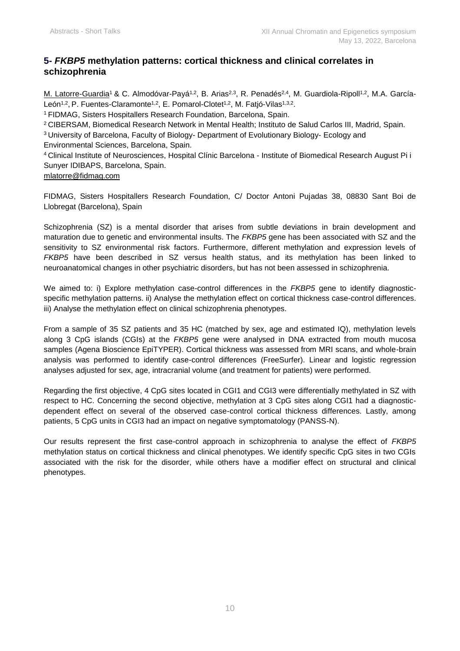## **5-** *FKBP5* **methylation patterns: cortical thickness and clinical correlates in schizophrenia**

M. Latorre-Guardia<sup>1</sup> & C. Almodóvar-Payá<sup>1,2</sup>, B. Arias<sup>2,3</sup>, R. Penadés<sup>2,4</sup>, M. Guardiola-Ripoll<sup>1,2</sup>, M.A. García-León<sup>1,2</sup>, P. Fuentes-Claramonte<sup>1,2</sup>, E. Pomarol-Clotet<sup>1,2</sup>, M. Fatjó-Vilas<sup>1,3,2</sup>.

<sup>1</sup>FIDMAG, Sisters Hospitallers Research Foundation, Barcelona, Spain.

<sup>2</sup>CIBERSAM, Biomedical Research Network in Mental Health; Instituto de Salud Carlos III, Madrid, Spain. <sup>3</sup>University of Barcelona, Faculty of Biology- Department of Evolutionary Biology- Ecology and Environmental Sciences, Barcelona, Spain.

<sup>4</sup>Clinical Institute of Neurosciences, Hospital Clínic Barcelona - Institute of Biomedical Research August Pi i Sunyer IDIBAPS, Barcelona, Spain.

[mlatorre@fidmag.com](mailto:mlatorre@fidmag.com)

FIDMAG, Sisters Hospitallers Research Foundation, C/ Doctor Antoni Pujadas 38, 08830 Sant Boi de Llobregat (Barcelona), Spain

Schizophrenia (SZ) is a mental disorder that arises from subtle deviations in brain development and maturation due to genetic and environmental insults. The *FKBP5* gene has been associated with SZ and the sensitivity to SZ environmental risk factors. Furthermore, different methylation and expression levels of *FKBP5* have been described in SZ versus health status, and its methylation has been linked to neuroanatomical changes in other psychiatric disorders, but has not been assessed in schizophrenia.

We aimed to: i) Explore methylation case-control differences in the *FKBP5* gene to identify diagnosticspecific methylation patterns. ii) Analyse the methylation effect on cortical thickness case-control differences. iii) Analyse the methylation effect on clinical schizophrenia phenotypes.

From a sample of 35 SZ patients and 35 HC (matched by sex, age and estimated IQ), methylation levels along 3 CpG islands (CGIs) at the *FKBP5* gene were analysed in DNA extracted from mouth mucosa samples (Agena Bioscience EpiTYPER). Cortical thickness was assessed from MRI scans, and whole-brain analysis was performed to identify case-control differences (FreeSurfer). Linear and logistic regression analyses adjusted for sex, age, intracranial volume (and treatment for patients) were performed.

Regarding the first objective, 4 CpG sites located in CGI1 and CGI3 were differentially methylated in SZ with respect to HC. Concerning the second objective, methylation at 3 CpG sites along CGI1 had a diagnosticdependent effect on several of the observed case-control cortical thickness differences. Lastly, among patients, 5 CpG units in CGI3 had an impact on negative symptomatology (PANSS-N).

Our results represent the first case-control approach in schizophrenia to analyse the effect of *FKBP5* methylation status on cortical thickness and clinical phenotypes. We identify specific CpG sites in two CGIs associated with the risk for the disorder, while others have a modifier effect on structural and clinical phenotypes.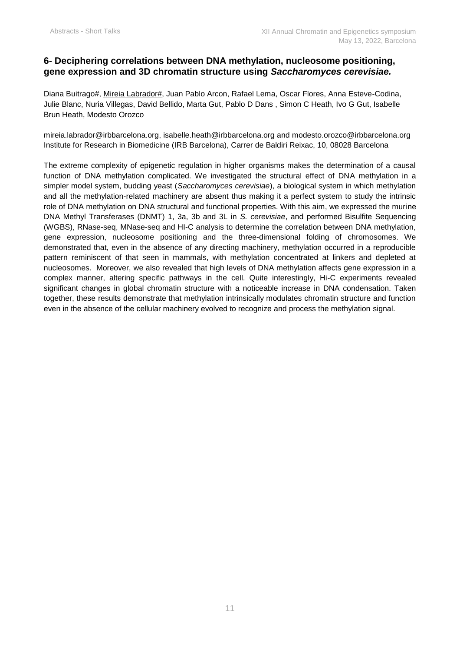## **6- Deciphering correlations between DNA methylation, nucleosome positioning, gene expression and 3D chromatin structure using** *Saccharomyces cerevisiae.*

Diana Buitrago#, Mireia Labrador#, Juan Pablo Arcon, Rafael Lema, Oscar Flores, Anna Esteve-Codina, Julie Blanc, Nuria Villegas, David Bellido, Marta Gut, Pablo D Dans , Simon C Heath, Ivo G Gut, Isabelle Brun Heath, Modesto Orozco

[mireia.labrador@irbbarcelona.org,](mailto:mireia.labrador@irbbarcelona.org) [isabelle.heath@irbbarcelona.org](mailto:isabelle.heath@irbbarcelona.org) and [modesto.orozco@irbbarcelona.org](mailto:modesto.orozco@irbbarcelona.org) Institute for Research in Biomedicine (IRB Barcelona), Carrer de Baldiri Reixac, 10, 08028 Barcelona

The extreme complexity of epigenetic regulation in higher organisms makes the determination of a causal function of DNA methylation complicated. We investigated the structural effect of DNA methylation in a simpler model system, budding yeast (*Saccharomyces cerevisiae*), a biological system in which methylation and all the methylation-related machinery are absent thus making it a perfect system to study the intrinsic role of DNA methylation on DNA structural and functional properties. With this aim, we expressed the murine DNA Methyl Transferases (DNMT) 1, 3a, 3b and 3L in *S. cerevisiae*, and performed Bisulfite Sequencing (WGBS), RNase-seq, MNase-seq and HI-C analysis to determine the correlation between DNA methylation, gene expression, nucleosome positioning and the three-dimensional folding of chromosomes. We demonstrated that, even in the absence of any directing machinery, methylation occurred in a reproducible pattern reminiscent of that seen in mammals, with methylation concentrated at linkers and depleted at nucleosomes. Moreover, we also revealed that high levels of DNA methylation affects gene expression in a complex manner, altering specific pathways in the cell. Quite interestingly, Hi-C experiments revealed significant changes in global chromatin structure with a noticeable increase in DNA condensation. Taken together, these results demonstrate that methylation intrinsically modulates chromatin structure and function even in the absence of the cellular machinery evolved to recognize and process the methylation signal.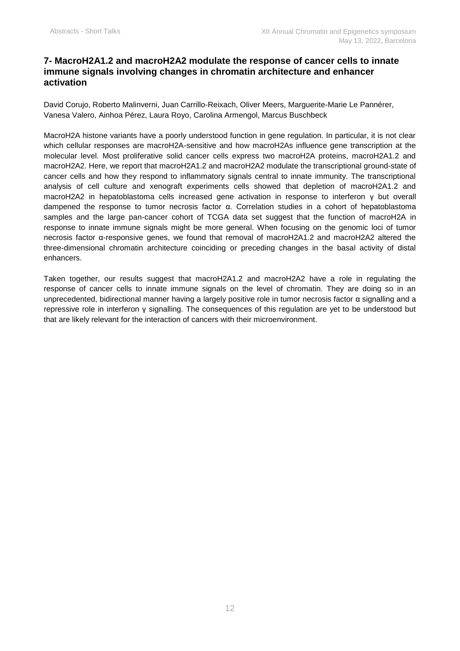## **7- MacroH2A1.2 and macroH2A2 modulate the response of cancer cells to innate immune signals involving changes in chromatin architecture and enhancer activation**

David Corujo, Roberto Malinverni, Juan Carrillo-Reixach, Oliver Meers, Marguerite-Marie Le Pannérer, Vanesa Valero, Ainhoa Pérez, Laura Royo, Carolina Armengol, Marcus Buschbeck

MacroH2A histone variants have a poorly understood function in gene regulation. In particular, it is not clear which cellular responses are macroH2A-sensitive and how macroH2As influence gene transcription at the molecular level. Most proliferative solid cancer cells express two macroH2A proteins, macroH2A1.2 and macroH2A2. Here, we report that macroH2A1.2 and macroH2A2 modulate the transcriptional ground-state of cancer cells and how they respond to inflammatory signals central to innate immunity. The transcriptional analysis of cell culture and xenograft experiments cells showed that depletion of macroH2A1.2 and macroH2A2 in hepatoblastoma cells increased gene activation in response to interferon γ but overall dampened the response to tumor necrosis factor α. Correlation studies in a cohort of hepatoblastoma samples and the large pan-cancer cohort of TCGA data set suggest that the function of macroH2A in response to innate immune signals might be more general. When focusing on the genomic loci of tumor necrosis factor α-responsive genes, we found that removal of macroH2A1.2 and macroH2A2 altered the three-dimensional chromatin architecture coinciding or preceding changes in the basal activity of distal enhancers.

Taken together, our results suggest that macroH2A1.2 and macroH2A2 have a role in regulating the response of cancer cells to innate immune signals on the level of chromatin. They are doing so in an unprecedented, bidirectional manner having a largely positive role in tumor necrosis factor α signalling and a repressive role in interferon γ signalling. The consequences of this regulation are yet to be understood but that are likely relevant for the interaction of cancers with their microenvironment.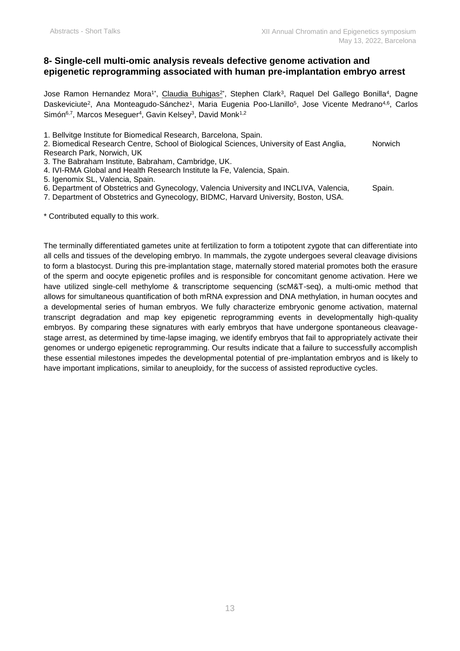## **8- Single-cell multi-omic analysis reveals defective genome activation and epigenetic reprogramming associated with human pre-implantation embryo arrest**

Jose Ramon Hernandez Mora<sup>1\*</sup>, <u>Claudia Buhigas<sup>2</sup></u>\*, Stephen Clark<sup>3</sup>, Raquel Del Gallego Bonilla<sup>4</sup>, Dagne Daskeviciute<sup>2</sup>, Ana Monteagudo-Sánchez<sup>1</sup>, Maria Eugenia Poo-Llanillo<sup>5</sup>, Jose Vicente Medrano<sup>4,6</sup>, Carlos Simón<sup>6,7</sup>, Marcos Meseguer<sup>4</sup>, Gavin Kelsey<sup>3</sup>, David Monk<sup>1,2</sup>

1. Bellvitge Institute for Biomedical Research, Barcelona, Spain.

2. Biomedical Research Centre, School of Biological Sciences, University of East Anglia, Norwich Research Park, Norwich, UK

3. The Babraham Institute, Babraham, Cambridge, UK.

- 4. IVI-RMA Global and Health Research Institute la Fe, Valencia, Spain.
- 5. Igenomix SL, Valencia, Spain.
- 6. Department of Obstetrics and Gynecology, Valencia University and INCLIVA, Valencia, Spain.

7. Department of Obstetrics and Gynecology, BIDMC, Harvard University, Boston, USA.

\* Contributed equally to this work.

The terminally differentiated gametes unite at fertilization to form a totipotent zygote that can differentiate into all cells and tissues of the developing embryo. In mammals, the zygote undergoes several cleavage divisions to form a blastocyst. During this pre-implantation stage, maternally stored material promotes both the erasure of the sperm and oocyte epigenetic profiles and is responsible for concomitant genome activation. Here we have utilized single-cell methylome & transcriptome sequencing (scM&T-seq), a multi-omic method that allows for simultaneous quantification of both mRNA expression and DNA methylation, in human oocytes and a developmental series of human embryos. We fully characterize embryonic genome activation, maternal transcript degradation and map key epigenetic reprogramming events in developmentally high-quality embryos. By comparing these signatures with early embryos that have undergone spontaneous cleavagestage arrest, as determined by time-lapse imaging, we identify embryos that fail to appropriately activate their genomes or undergo epigenetic reprogramming. Our results indicate that a failure to successfully accomplish these essential milestones impedes the developmental potential of pre-implantation embryos and is likely to have important implications, similar to aneuploidy, for the success of assisted reproductive cycles.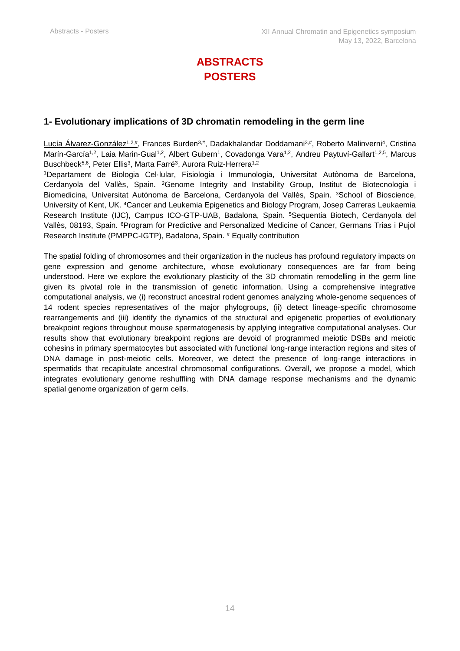# **ABSTRACTS POSTERS**

## **1- Evolutionary implications of 3D chromatin remodeling in the germ line**

<u>Lucía Alvarez-González1,2#,</u> Frances Burden<sup>3,#</sup>, Dadakhalandar Doddamani<sup>3,#</sup>, Roberto Malinverni<sup>4</sup>, Cristina i Marín-García<sup>1,2</sup>, Laia Marin-Gual<sup>1,2</sup>, Albert Gubern<sup>1</sup>, Covadonga Vara<sup>1,2</sup>, Andreu Paytuví-Gallart<sup>1,2,5</sup>, Marcus Buschbeck<sup>5,6</sup>, Peter Ellis<sup>3</sup>, Marta Farré<sup>3</sup>, Aurora Ruiz-Herrera<sup>1,2</sup>

<sup>1</sup>Departament de Biologia Cel·lular, Fisiologia i Immunologia, Universitat Autònoma de Barcelona, Cerdanyola del Vallès, Spain. <sup>2</sup>Genome Integrity and Instability Group, Institut de Biotecnologia i Biomedicina, Universitat Autònoma de Barcelona, Cerdanyola del Vallès, Spain. <sup>3</sup>School of Bioscience, University of Kent, UK. <sup>4</sup>Cancer and Leukemia Epigenetics and Biology Program, Josep Carreras Leukaemia Research Institute (IJC), Campus ICO-GTP-UAB, Badalona, Spain. <sup>5</sup>Sequentia Biotech, Cerdanyola del Vallès, 08193, Spain. <sup>6</sup>Program for Predictive and Personalized Medicine of Cancer, Germans Trias i Pujol Research Institute (PMPPC-IGTP), Badalona, Spain. # Equally contribution

The spatial folding of chromosomes and their organization in the nucleus has profound regulatory impacts on gene expression and genome architecture, whose evolutionary consequences are far from being understood. Here we explore the evolutionary plasticity of the 3D chromatin remodelling in the germ line given its pivotal role in the transmission of genetic information. Using a comprehensive integrative computational analysis, we (i) reconstruct ancestral rodent genomes analyzing whole-genome sequences of 14 rodent species representatives of the major phylogroups, (ii) detect lineage-specific chromosome rearrangements and (iii) identify the dynamics of the structural and epigenetic properties of evolutionary breakpoint regions throughout mouse spermatogenesis by applying integrative computational analyses. Our results show that evolutionary breakpoint regions are devoid of programmed meiotic DSBs and meiotic cohesins in primary spermatocytes but associated with functional long-range interaction regions and sites of DNA damage in post-meiotic cells. Moreover, we detect the presence of long-range interactions in spermatids that recapitulate ancestral chromosomal configurations. Overall, we propose a model, which integrates evolutionary genome reshuffling with DNA damage response mechanisms and the dynamic spatial genome organization of germ cells.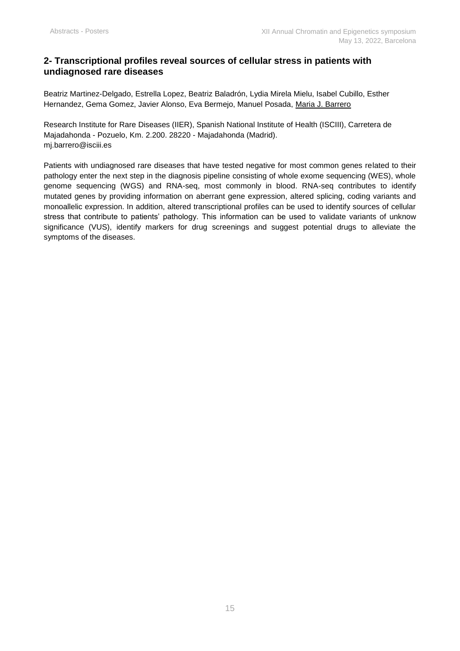## **2- Transcriptional profiles reveal sources of cellular stress in patients with undiagnosed rare diseases**

Beatriz Martinez-Delgado, Estrella Lopez, Beatriz Baladrón, Lydia Mirela Mielu, Isabel Cubillo, Esther Hernandez, Gema Gomez, Javier Alonso, Eva Bermejo, Manuel Posada, Maria J. Barrero

Research Institute for Rare Diseases (IIER), Spanish National Institute of Health (ISCIII), Carretera de Majadahonda - Pozuelo, Km. 2.200. 28220 - Majadahonda (Madrid). [mj.barrero@isciii.es](mailto:mj.barrero@isciii.es)

Patients with undiagnosed rare diseases that have tested negative for most common genes related to their pathology enter the next step in the diagnosis pipeline consisting of whole exome sequencing (WES), whole genome sequencing (WGS) and RNA-seq, most commonly in blood. RNA-seq contributes to identify mutated genes by providing information on aberrant gene expression, altered splicing, coding variants and monoallelic expression. In addition, altered transcriptional profiles can be used to identify sources of cellular stress that contribute to patients' pathology. This information can be used to validate variants of unknow significance (VUS), identify markers for drug screenings and suggest potential drugs to alleviate the symptoms of the diseases.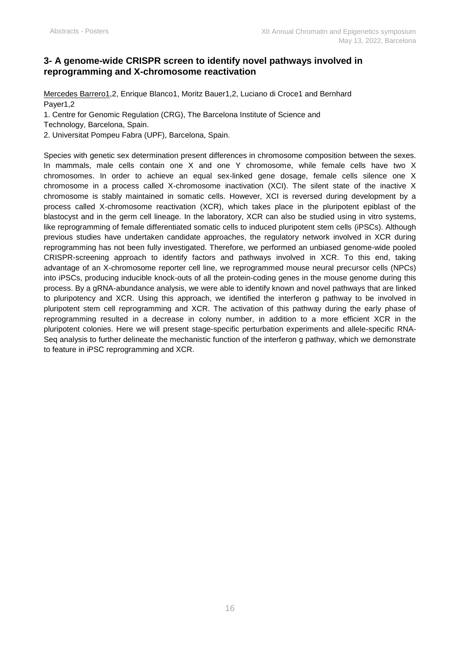## **3- A genome-wide CRISPR screen to identify novel pathways involved in reprogramming and X-chromosome reactivation**

Mercedes Barrero1,2, Enrique Blanco1, Moritz Bauer1,2, Luciano di Croce1 and Bernhard Payer1,2

1. Centre for Genomic Regulation (CRG), The Barcelona Institute of Science and

Technology, Barcelona, Spain.

2. Universitat Pompeu Fabra (UPF), Barcelona, Spain.

Species with genetic sex determination present differences in chromosome composition between the sexes. In mammals, male cells contain one X and one Y chromosome, while female cells have two X chromosomes. In order to achieve an equal sex-linked gene dosage, female cells silence one X chromosome in a process called X-chromosome inactivation (XCI). The silent state of the inactive X chromosome is stably maintained in somatic cells. However, XCI is reversed during development by a process called X-chromosome reactivation (XCR), which takes place in the pluripotent epiblast of the blastocyst and in the germ cell lineage. In the laboratory, XCR can also be studied using in vitro systems, like reprogramming of female differentiated somatic cells to induced pluripotent stem cells (iPSCs). Although previous studies have undertaken candidate approaches, the regulatory network involved in XCR during reprogramming has not been fully investigated. Therefore, we performed an unbiased genome-wide pooled CRISPR-screening approach to identify factors and pathways involved in XCR. To this end, taking advantage of an X-chromosome reporter cell line, we reprogrammed mouse neural precursor cells (NPCs) into iPSCs, producing inducible knock-outs of all the protein-coding genes in the mouse genome during this process. By a gRNA-abundance analysis, we were able to identify known and novel pathways that are linked to pluripotency and XCR. Using this approach, we identified the interferon g pathway to be involved in pluripotent stem cell reprogramming and XCR. The activation of this pathway during the early phase of reprogramming resulted in a decrease in colony number, in addition to a more efficient XCR in the pluripotent colonies. Here we will present stage-specific perturbation experiments and allele-specific RNA-Seq analysis to further delineate the mechanistic function of the interferon g pathway, which we demonstrate to feature in iPSC reprogramming and XCR.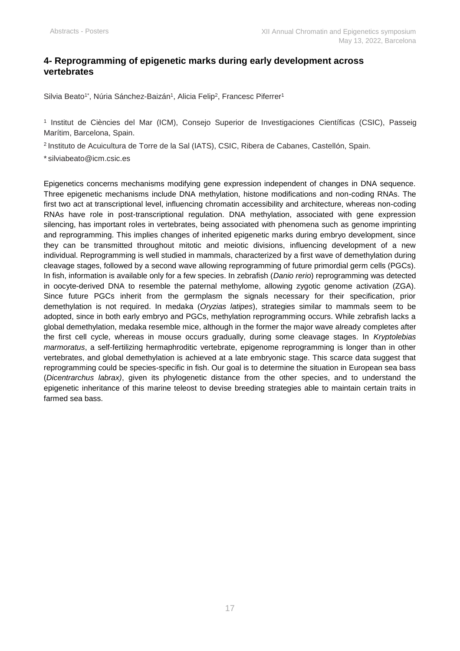## **4- Reprogramming of epigenetic marks during early development across vertebrates**

Silvia Beato1\*, Núria Sánchez-Baizán1, Alicia Felip<sup>2</sup>, Francesc Piferrer1

1 Institut de Ciències del Mar (ICM), Consejo Superior de Investigaciones Científicas (CSIC), Passeig Marítim, Barcelona, Spain.

<sup>2</sup>Instituto de Acuicultura de Torre de la Sal (IATS), CSIC, Ribera de Cabanes, Castellón, Spain.

\* silviabeato@icm.csic.es

Epigenetics concerns mechanisms modifying gene expression independent of changes in DNA sequence. Three epigenetic mechanisms include DNA methylation, histone modifications and non-coding RNAs. The first two act at transcriptional level, influencing chromatin accessibility and architecture, whereas non-coding RNAs have role in post-transcriptional regulation. DNA methylation, associated with gene expression silencing, has important roles in vertebrates, being associated with phenomena such as genome imprinting and reprogramming. This implies changes of inherited epigenetic marks during embryo development, since they can be transmitted throughout mitotic and meiotic divisions, influencing development of a new individual. Reprogramming is well studied in mammals, characterized by a first wave of demethylation during cleavage stages, followed by a second wave allowing reprogramming of future primordial germ cells (PGCs). In fish, information is available only for a few species. In zebrafish (*Danio rerio*) reprogramming was detected in oocyte-derived DNA to resemble the paternal methylome, allowing zygotic genome activation (ZGA). Since future PGCs inherit from the germplasm the signals necessary for their specification, prior demethylation is not required. In medaka (*Oryzias latipes*), strategies similar to mammals seem to be adopted, since in both early embryo and PGCs, methylation reprogramming occurs. While zebrafish lacks a global demethylation, medaka resemble mice, although in the former the major wave already completes after the first cell cycle, whereas in mouse occurs gradually, during some cleavage stages. In *Kryptolebias marmoratus*, a self-fertilizing hermaphroditic vertebrate, epigenome reprogramming is longer than in other vertebrates, and global demethylation is achieved at a late embryonic stage. This scarce data suggest that reprogramming could be species-specific in fish. Our goal is to determine the situation in European sea bass (*Dicentrarchus labrax)*, given its phylogenetic distance from the other species, and to understand the epigenetic inheritance of this marine teleost to devise breeding strategies able to maintain certain traits in farmed sea bass.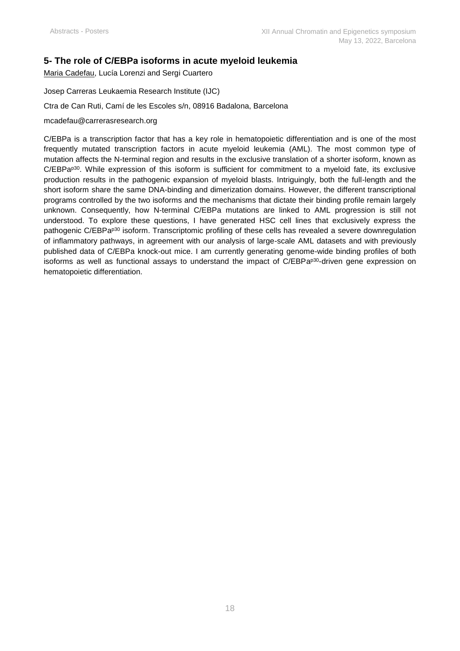## **5- The role of C/EBPa isoforms in acute myeloid leukemia**

Maria Cadefau, Lucía Lorenzi and Sergi Cuartero

Josep Carreras Leukaemia Research Institute (IJC)

Ctra de Can Ruti, Camí de les Escoles s/n, 08916 Badalona, Barcelona

#### mcadefau@carrerasresearch.org

C/EBPa is a transcription factor that has a key role in hematopoietic differentiation and is one of the most frequently mutated transcription factors in acute myeloid leukemia (AML). The most common type of mutation affects the N-terminal region and results in the exclusive translation of a shorter isoform, known as C/EBPa<sup>p30</sup>. While expression of this isoform is sufficient for commitment to a myeloid fate, its exclusive production results in the pathogenic expansion of myeloid blasts. Intriguingly, both the full-length and the short isoform share the same DNA-binding and dimerization domains. However, the different transcriptional programs controlled by the two isoforms and the mechanisms that dictate their binding profile remain largely unknown. Consequently, how N-terminal C/EBPa mutations are linked to AML progression is still not understood. To explore these questions, I have generated HSC cell lines that exclusively express the pathogenic C/EBPa<sup>p30</sup> isoform. Transcriptomic profiling of these cells has revealed a severe downregulation of inflammatory pathways, in agreement with our analysis of large-scale AML datasets and with previously published data of C/EBPa knock-out mice. I am currently generating genome-wide binding profiles of both isoforms as well as functional assays to understand the impact of C/EBPa p30-driven gene expression on hematopoietic differentiation.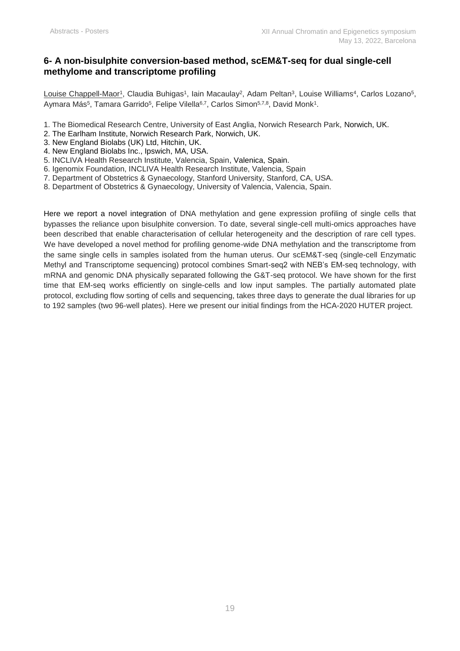## **6- A non-bisulphite conversion-based method, scEM&T-seq for dual single-cell methylome and transcriptome profiling**

<u>Louise Chappell-Maor1,</u> Claudia Buhigas1, Iain Macaulay<sup>2</sup>, Adam Peltan<sup>3</sup>, Louise Williams<sup>4</sup>, Carlos Lozano<sup>5</sup>, Aymara Más<sup>5</sup>, Tamara Garrido<sup>5</sup>, Felipe Vilella<sup>6,7</sup>, Carlos Simon<sup>5,7,8</sup>, David Monk<sup>1</sup>.

- 1. The Biomedical Research Centre, University of East Anglia, Norwich Research Park, Norwich, UK.
- 2. The Earlham Institute, Norwich Research Park, Norwich, UK.
- 3. New England Biolabs (UK) Ltd, Hitchin, UK.
- 4. New England Biolabs Inc., Ipswich, MA, USA.
- 5. INCLIVA Health Research Institute, Valencia, Spain, Valenica, Spain.
- 6. Igenomix Foundation, INCLIVA Health Research Institute, Valencia, Spain
- 7. Department of Obstetrics & Gynaecology, Stanford University, Stanford, CA, USA.
- 8. Department of Obstetrics & Gynaecology, University of Valencia, Valencia, Spain.

Here we report a novel integration of DNA methylation and gene expression profiling of single cells that bypasses the reliance upon bisulphite conversion. To date, several single-cell multi-omics approaches have been described that enable characterisation of cellular heterogeneity and the description of rare cell types. We have developed a novel method for profiling genome-wide DNA methylation and the transcriptome from the same single cells in samples isolated from the human uterus. Our scEM&T-seq (single-cell Enzymatic Methyl and Transcriptome sequencing) protocol combines Smart-seq2 with NEB's EM-seq technology, with mRNA and genomic DNA physically separated following the G&T-seq protocol. We have shown for the first time that EM-seq works efficiently on single-cells and low input samples. The partially automated plate protocol, excluding flow sorting of cells and sequencing, takes three days to generate the dual libraries for up to 192 samples (two 96-well plates). Here we present our initial findings from the HCA-2020 HUTER project.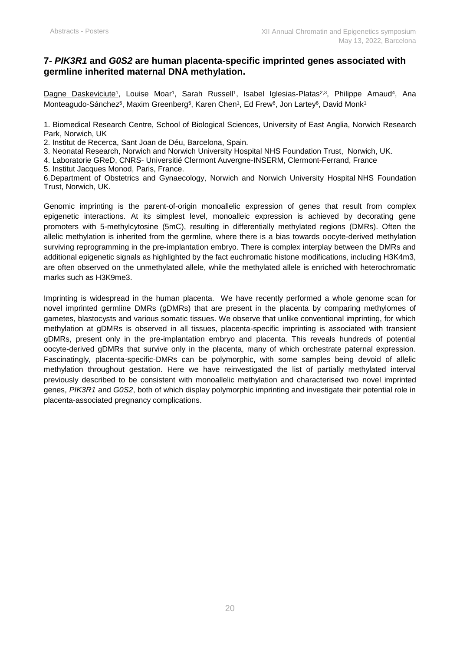### **7-** *PIK3R1* **and** *G0S2* **are human placenta-specific imprinted genes associated with germline inherited maternal DNA methylation.**

<u>Dagne Daskeviciute<sup>1</sup>,</u> Louise Moar<sup>1</sup>, Sarah Russell<sup>1</sup>, Isabel Iglesias-Platas<sup>2,3</sup>, Philippe Arnaud<sup>4</sup>, Ana Monteagudo-Sánchez<sup>5</sup>, Maxim Greenberg<sup>5</sup>, Karen Chen<sup>1</sup>, Ed Frew<sup>6</sup>, Jon Lartey<sup>6</sup>, David Monk<sup>1</sup>

1. Biomedical Research Centre, School of Biological Sciences, University of East Anglia, Norwich Research Park, Norwich, UK

2. Institut de Recerca, Sant Joan de Déu, Barcelona, Spain.

3. Neonatal Research, Norwich and Norwich University Hospital NHS Foundation Trust, Norwich, UK.

4. Laboratorie GReD, CNRS- Universitié Clermont Auvergne-INSERM, Clermont-Ferrand, France

5. Institut Jacques Monod, Paris, France.

6.Department of Obstetrics and Gynaecology, Norwich and Norwich University Hospital NHS Foundation Trust, Norwich, UK.

Genomic imprinting is the parent-of-origin monoallelic expression of genes that result from complex epigenetic interactions. At its simplest level, monoalleic expression is achieved by decorating gene promoters with 5-methylcytosine (5mC), resulting in differentially methylated regions (DMRs). Often the allelic methylation is inherited from the germline, where there is a bias towards oocyte-derived methylation surviving reprogramming in the pre-implantation embryo. There is complex interplay between the DMRs and additional epigenetic signals as highlighted by the fact euchromatic histone modifications, including H3K4m3, are often observed on the unmethylated allele, while the methylated allele is enriched with heterochromatic marks such as H3K9me3.

Imprinting is widespread in the human placenta. We have recently performed a whole genome scan for novel imprinted germline DMRs (gDMRs) that are present in the placenta by comparing methylomes of gametes, blastocysts and various somatic tissues. We observe that unlike conventional imprinting, for which methylation at gDMRs is observed in all tissues, placenta-specific imprinting is associated with transient gDMRs, present only in the pre-implantation embryo and placenta. This reveals hundreds of potential oocyte-derived gDMRs that survive only in the placenta, many of which orchestrate paternal expression. Fascinatingly, placenta-specific-DMRs can be polymorphic, with some samples being devoid of allelic methylation throughout gestation. Here we have reinvestigated the list of partially methylated interval previously described to be consistent with monoallelic methylation and characterised two novel imprinted genes, *PIK3R1* and *G0S2*, both of which display polymorphic imprinting and investigate their potential role in placenta-associated pregnancy complications.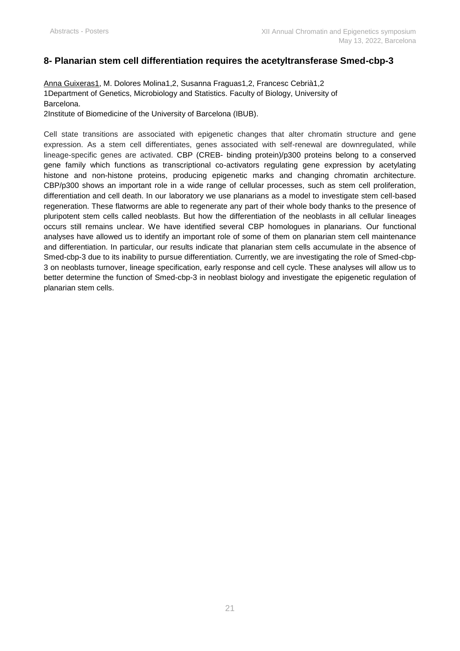## **8- Planarian stem cell differentiation requires the acetyltransferase Smed-cbp-3**

Anna Guixeras1, M. Dolores Molina1,2, Susanna Fraguas1,2, Francesc Cebrià1,2 1Department of Genetics, Microbiology and Statistics. Faculty of Biology, University of Barcelona.

2Institute of Biomedicine of the University of Barcelona (IBUB).

Cell state transitions are associated with epigenetic changes that alter chromatin structure and gene expression. As a stem cell differentiates, genes associated with self-renewal are downregulated, while lineage-specific genes are activated. CBP (CREB- binding protein)/p300 proteins belong to a conserved gene family which functions as transcriptional co-activators regulating gene expression by acetylating histone and non-histone proteins, producing epigenetic marks and changing chromatin architecture. CBP/p300 shows an important role in a wide range of cellular processes, such as stem cell proliferation, differentiation and cell death. In our laboratory we use planarians as a model to investigate stem cell-based regeneration. These flatworms are able to regenerate any part of their whole body thanks to the presence of pluripotent stem cells called neoblasts. But how the differentiation of the neoblasts in all cellular lineages occurs still remains unclear. We have identified several CBP homologues in planarians. Our functional analyses have allowed us to identify an important role of some of them on planarian stem cell maintenance and differentiation. In particular, our results indicate that planarian stem cells accumulate in the absence of Smed-cbp-3 due to its inability to pursue differentiation. Currently, we are investigating the role of Smed-cbp-3 on neoblasts turnover, lineage specification, early response and cell cycle. These analyses will allow us to better determine the function of Smed-cbp-3 in neoblast biology and investigate the epigenetic regulation of planarian stem cells.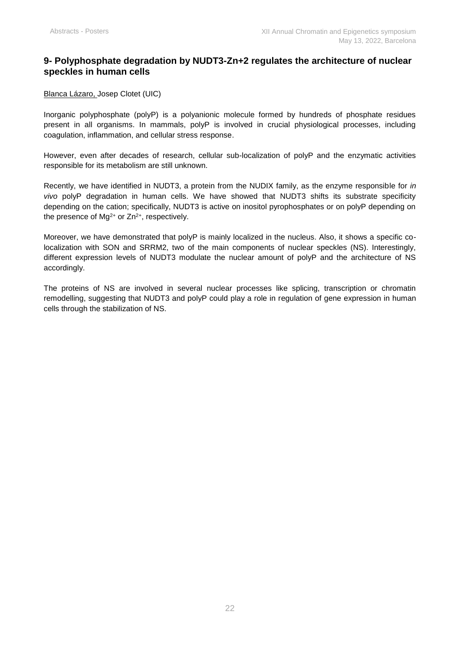## **9- Polyphosphate degradation by NUDT3-Zn+2 regulates the architecture of nuclear speckles in human cells**

Blanca Lázaro, Josep Clotet (UIC)

Inorganic polyphosphate (polyP) is a polyanionic molecule formed by hundreds of phosphate residues present in all organisms. In mammals, polyP is involved in crucial physiological processes, including coagulation, inflammation, and cellular stress response.

However, even after decades of research, cellular sub-localization of polyP and the enzymatic activities responsible for its metabolism are still unknown.

Recently, we have identified in NUDT3, a protein from the NUDIX family, as the enzyme responsible for *in vivo* polyP degradation in human cells. We have showed that NUDT3 shifts its substrate specificity depending on the cation; specifically, NUDT3 is active on inositol pyrophosphates or on polyP depending on the presence of  $Mg^{2+}$  or  $Zn^{2+}$ , respectively.

Moreover, we have demonstrated that polyP is mainly localized in the nucleus. Also, it shows a specific colocalization with SON and SRRM2, two of the main components of nuclear speckles (NS). Interestingly, different expression levels of NUDT3 modulate the nuclear amount of polyP and the architecture of NS accordingly.

The proteins of NS are involved in several nuclear processes like splicing, transcription or chromatin remodelling, suggesting that NUDT3 and polyP could play a role in regulation of gene expression in human cells through the stabilization of NS.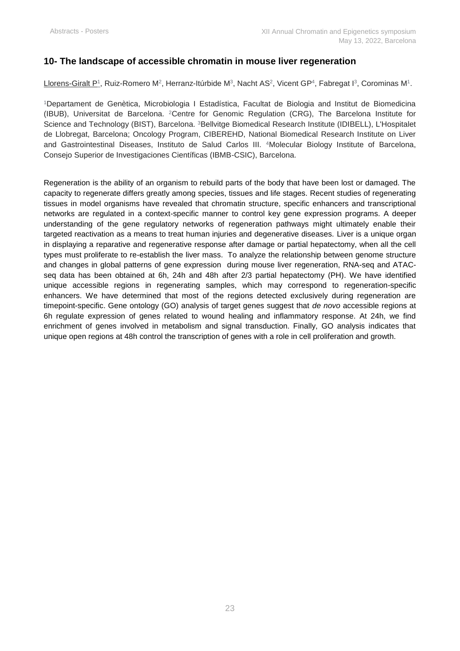## **10- The landscape of accessible chromatin in mouse liver regeneration**

Llorens-Giralt P1, Ruiz-Romero M², Herranz-Itúrbide Mª, Nacht AS², Vicent GP4, Fabregat Iª, Corominas M1.

<sup>1</sup>Departament de Genètica, Microbiologia I Estadística, Facultat de Biologia and Institut de Biomedicina (IBUB), Universitat de Barcelona. <sup>2</sup>Centre for Genomic Regulation (CRG), The Barcelona Institute for Science and Technology (BIST), Barcelona. <sup>3</sup>Bellvitge Biomedical Research Institute (IDIBELL), L'Hospitalet de Llobregat, Barcelona; Oncology Program, CIBEREHD, National Biomedical Research Institute on Liver and Gastrointestinal Diseases, Instituto de Salud Carlos III. <sup>4</sup>Molecular Biology Institute of Barcelona, Consejo Superior de Investigaciones Científicas (IBMB-CSIC), Barcelona.

Regeneration is the ability of an organism to rebuild parts of the body that have been lost or damaged. The capacity to regenerate differs greatly among species, tissues and life stages. Recent studies of regenerating tissues in model organisms have revealed that chromatin structure, specific enhancers and transcriptional networks are regulated in a context-specific manner to control key gene expression programs. A deeper understanding of the gene regulatory networks of regeneration pathways might ultimately enable their targeted reactivation as a means to treat human injuries and degenerative diseases. Liver is a unique organ in displaying a reparative and regenerative response after damage or partial hepatectomy, when all the cell types must proliferate to re-establish the liver mass. To analyze the relationship between genome structure and changes in global patterns of gene expression during mouse liver regeneration, RNA-seq and ATACseq data has been obtained at 6h, 24h and 48h after 2/3 partial hepatectomy (PH). We have identified unique accessible regions in regenerating samples, which may correspond to regeneration-specific enhancers. We have determined that most of the regions detected exclusively during regeneration are timepoint-specific. Gene ontology (GO) analysis of target genes suggest that *de novo* accessible regions at 6h regulate expression of genes related to wound healing and inflammatory response. At 24h, we find enrichment of genes involved in metabolism and signal transduction. Finally, GO analysis indicates that unique open regions at 48h control the transcription of genes with a role in cell proliferation and growth.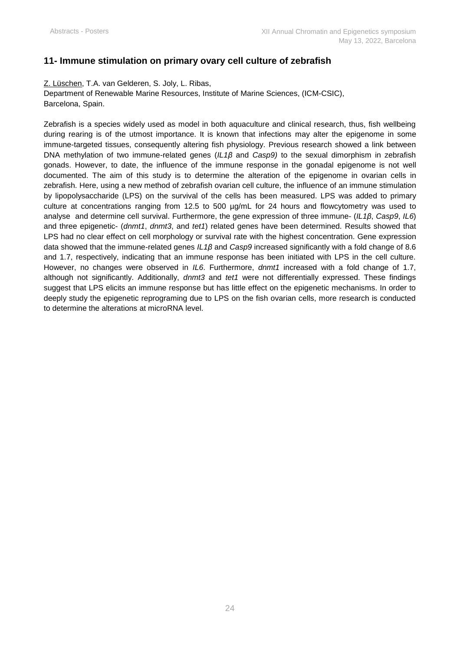## **11- Immune stimulation on primary ovary cell culture of zebrafish**

Z. Lüschen, T.A. van Gelderen, S. Joly, L. Ribas,

Department of Renewable Marine Resources, Institute of Marine Sciences, (ICM-CSIC), Barcelona, Spain.

Zebrafish is a species widely used as model in both aquaculture and clinical research, thus, fish wellbeing during rearing is of the utmost importance. It is known that infections may alter the epigenome in some immune-targeted tissues, consequently altering fish physiology. Previous research showed a link between DNA methylation of two immune-related genes (*IL1β* and *Casp9)* to the sexual dimorphism in zebrafish gonads. However, to date, the influence of the immune response in the gonadal epigenome is not well documented. The aim of this study is to determine the alteration of the epigenome in ovarian cells in zebrafish. Here, using a new method of zebrafish ovarian cell culture, the influence of an immune stimulation by lipopolysaccharide (LPS) on the survival of the cells has been measured. LPS was added to primary culture at concentrations ranging from 12.5 to 500 µg/mL for 24 hours and flowcytometry was used to analyse and determine cell survival. Furthermore, the gene expression of three immune- (*IL1β*, *Casp9*, *IL6*) and three epigenetic- (*dnmt1*, *dnmt3*, and *tet1*) related genes have been determined. Results showed that LPS had no clear effect on cell morphology or survival rate with the highest concentration. Gene expression data showed that the immune-related genes *IL1β* and *Casp9* increased significantly with a fold change of 8.6 and 1.7, respectively, indicating that an immune response has been initiated with LPS in the cell culture. However, no changes were observed in *IL6*. Furthermore, *dnmt1* increased with a fold change of 1.7, although not significantly. Additionally, *dnmt3* and *tet1* were not differentially expressed. These findings suggest that LPS elicits an immune response but has little effect on the epigenetic mechanisms. In order to deeply study the epigenetic reprograming due to LPS on the fish ovarian cells, more research is conducted to determine the alterations at microRNA level.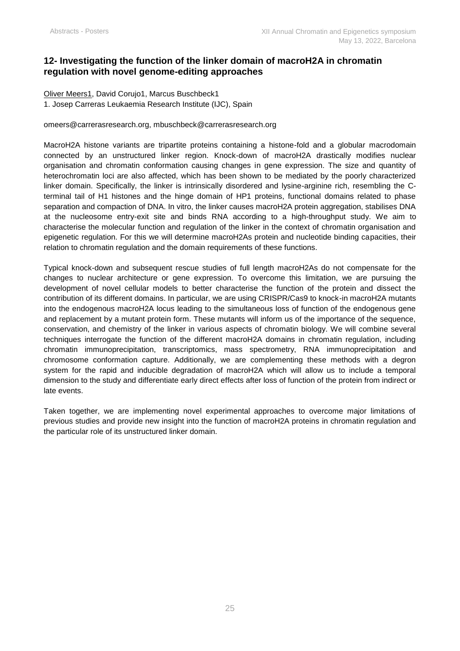## **12- Investigating the function of the linker domain of macroH2A in chromatin regulation with novel genome-editing approaches**

Oliver Meers1, David Corujo1, Marcus Buschbeck1 1. Josep Carreras Leukaemia Research Institute (IJC), Spain

omeers@carrerasresearch.org, [mbuschbeck@carrerasresearch.org](mailto:mbuschbeck@carrerasresearch.org)

MacroH2A histone variants are tripartite proteins containing a histone-fold and a globular macrodomain connected by an unstructured linker region. Knock-down of macroH2A drastically modifies nuclear organisation and chromatin conformation causing changes in gene expression. The size and quantity of heterochromatin loci are also affected, which has been shown to be mediated by the poorly characterized linker domain. Specifically, the linker is intrinsically disordered and lysine-arginine rich, resembling the Cterminal tail of H1 histones and the hinge domain of HP1 proteins, functional domains related to phase separation and compaction of DNA. In vitro, the linker causes macroH2A protein aggregation, stabilises DNA at the nucleosome entry-exit site and binds RNA according to a high-throughput study. We aim to characterise the molecular function and regulation of the linker in the context of chromatin organisation and epigenetic regulation. For this we will determine macroH2As protein and nucleotide binding capacities, their relation to chromatin regulation and the domain requirements of these functions.

Typical knock-down and subsequent rescue studies of full length macroH2As do not compensate for the changes to nuclear architecture or gene expression. To overcome this limitation, we are pursuing the development of novel cellular models to better characterise the function of the protein and dissect the contribution of its different domains. In particular, we are using CRISPR/Cas9 to knock-in macroH2A mutants into the endogenous macroH2A locus leading to the simultaneous loss of function of the endogenous gene and replacement by a mutant protein form. These mutants will inform us of the importance of the sequence, conservation, and chemistry of the linker in various aspects of chromatin biology. We will combine several techniques interrogate the function of the different macroH2A domains in chromatin regulation, including chromatin immunoprecipitation, transcriptomics, mass spectrometry, RNA immunoprecipitation and chromosome conformation capture. Additionally, we are complementing these methods with a degron system for the rapid and inducible degradation of macroH2A which will allow us to include a temporal dimension to the study and differentiate early direct effects after loss of function of the protein from indirect or late events.

Taken together, we are implementing novel experimental approaches to overcome major limitations of previous studies and provide new insight into the function of macroH2A proteins in chromatin regulation and the particular role of its unstructured linker domain.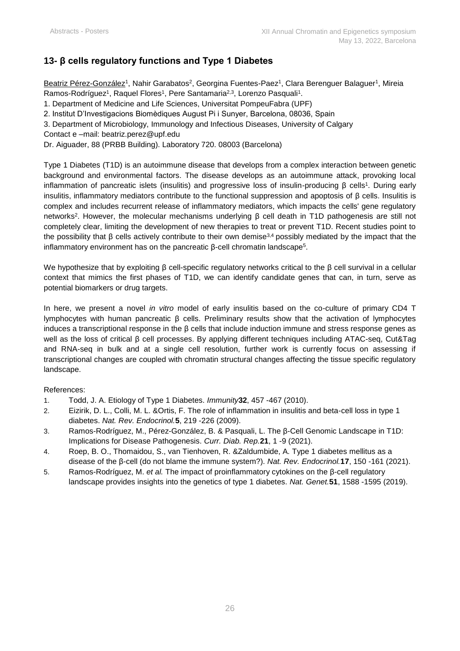## **13- β cells regulatory functions and Type 1 Diabetes**

<u>Beatriz Pérez-González</u>1, Nahir Garabatos<sup>2</sup>, Georgina Fuentes-Paez1, Clara Berenguer Balaguer1, Mireia Ramos-Rodríguez<sup>1</sup>, Raquel Flores<sup>1</sup>, Pere Santamaria<sup>2,3</sup>, Lorenzo Pasquali<sup>1</sup>.

1. Department of Medicine and Life Sciences, Universitat PompeuFabra (UPF)

2. Institut D'Investigacions Biomèdiques August Pi i Sunyer, Barcelona, 08036, Spain

- 3. Department of Microbiology, Immunology and Infectious Diseases, University of Calgary
- Contact e –mail: beatriz.perez@upf.edu

Dr. Aiguader, 88 (PRBB Building). Laboratory 720. 08003 (Barcelona)

Type 1 Diabetes (T1D) is an autoimmune disease that develops from a complex interaction between genetic background and environmental factors. The disease develops as an autoimmune attack, provoking local inflammation of pancreatic islets (insulitis) and progressive loss of insulin-producing β cells<sup>1</sup>. During early insulitis, inflammatory mediators contribute to the functional suppression and apoptosis of  $β$  cells. Insulitis is complex and includes recurrent release of inflammatory mediators, which impacts the cells' gene regulatory networks<sup>2</sup> . However, the molecular mechanisms underlying β cell death in T1D pathogenesis are still not completely clear, limiting the development of new therapies to treat or prevent T1D. Recent studies point to the possibility that  $\beta$  cells actively contribute to their own demise<sup>3,4</sup> possibly mediated by the impact that the inflammatory environment has on the pancreatic β-cell chromatin landscape<sup>5</sup>.

We hypothesize that by exploiting β cell-specific regulatory networks critical to the β cell survival in a cellular context that mimics the first phases of T1D, we can identify candidate genes that can, in turn, serve as potential biomarkers or drug targets.

In here, we present a novel *in vitro* model of early insulitis based on the co-culture of primary CD4 T lymphocytes with human pancreatic β cells. Preliminary results show that the activation of lymphocytes induces a transcriptional response in the β cells that include induction immune and stress response genes as well as the loss of critical β cell processes. By applying different techniques including ATAC-seq, Cut&Tag and RNA-seq in bulk and at a single cell resolution, further work is currently focus on assessing if transcriptional changes are coupled with chromatin structural changes affecting the tissue specific regulatory landscape.

#### References:

- 1. Todd, J. A. Etiology of Type 1 Diabetes. *Immunity***32**, 457 -467 (2010).
- 2. Eizirik, D. L., Colli, M. L. &Ortis, F. The role of inflammation in insulitis and beta-cell loss in type 1 diabetes. *Nat. Rev. Endocrinol.***5**, 219 -226 (2009).
- 3. Ramos-Rodríguez, M., Pérez-González, B. & Pasquali, L. The β-Cell Genomic Landscape in T1D: Implications for Disease Pathogenesis. *Curr. Diab. Rep.***21**, 1 -9 (2021).
- 4. Roep, B. O., Thomaidou, S., van Tienhoven, R. &Zaldumbide, A. Type 1 diabetes mellitus as a disease of the β-cell (do not blame the immune system?). *Nat. Rev. Endocrinol.***17**, 150 -161 (2021).
- 5. Ramos-Rodríguez, M. *et al.* The impact of proinflammatory cytokines on the β-cell regulatory landscape provides insights into the genetics of type 1 diabetes. *Nat. Genet.***51**, 1588 -1595 (2019).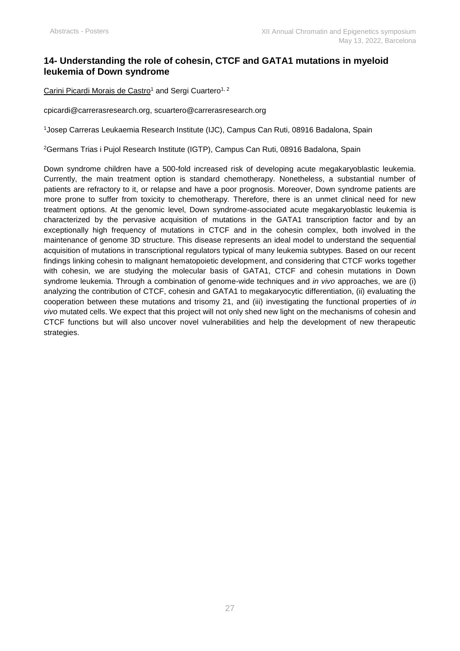## **14- Understanding the role of cohesin, CTCF and GATA1 mutations in myeloid leukemia of Down syndrome**

Carini Picardi Morais de Castro<sup>1</sup> and Sergi Cuartero<sup>1, 2</sup>

[cpicardi@carrerasresearch.org,](mailto:cpicardi@carrerasresearch.org) [scuartero@carrerasresearch.org](mailto:scuartero@carrerasresearch.org)

<sup>1</sup>Josep Carreras Leukaemia Research Institute (IJC), Campus Can Ruti, 08916 Badalona, Spain

<sup>2</sup>Germans Trias i Pujol Research Institute (IGTP), Campus Can Ruti, 08916 Badalona, Spain

Down syndrome children have a 500-fold increased risk of developing acute megakaryoblastic leukemia. Currently, the main treatment option is standard chemotherapy. Nonetheless, a substantial number of patients are refractory to it, or relapse and have a poor prognosis. Moreover, Down syndrome patients are more prone to suffer from toxicity to chemotherapy. Therefore, there is an unmet clinical need for new treatment options. At the genomic level, Down syndrome-associated acute megakaryoblastic leukemia is characterized by the pervasive acquisition of mutations in the GATA1 transcription factor and by an exceptionally high frequency of mutations in CTCF and in the cohesin complex, both involved in the maintenance of genome 3D structure. This disease represents an ideal model to understand the sequential acquisition of mutations in transcriptional regulators typical of many leukemia subtypes. Based on our recent findings linking cohesin to malignant hematopoietic development, and considering that CTCF works together with cohesin, we are studying the molecular basis of GATA1, CTCF and cohesin mutations in Down syndrome leukemia. Through a combination of genome-wide techniques and *in vivo* approaches, we are (i) analyzing the contribution of CTCF, cohesin and GATA1 to megakaryocytic differentiation, (ii) evaluating the cooperation between these mutations and trisomy 21, and (iii) investigating the functional properties of *in vivo* mutated cells. We expect that this project will not only shed new light on the mechanisms of cohesin and CTCF functions but will also uncover novel vulnerabilities and help the development of new therapeutic strategies.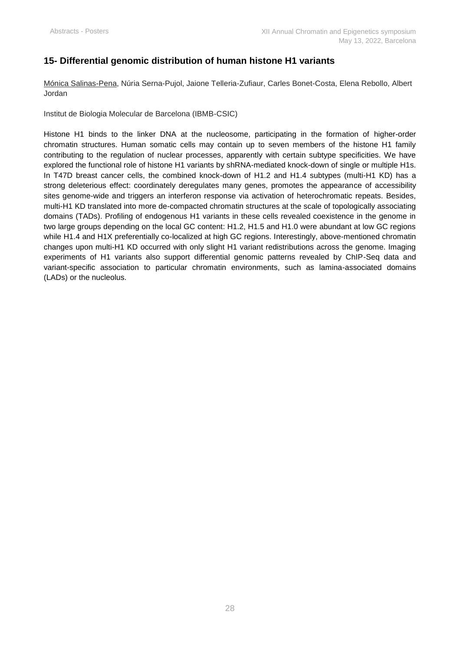## **15- Differential genomic distribution of human histone H1 variants**

Mónica Salinas-Pena, Núria Serna-Pujol, Jaione Telleria-Zufiaur, Carles Bonet-Costa, Elena Rebollo, Albert Jordan

Institut de Biologia Molecular de Barcelona (IBMB-CSIC)

Histone H1 binds to the linker DNA at the nucleosome, participating in the formation of higher-order chromatin structures. Human somatic cells may contain up to seven members of the histone H1 family contributing to the regulation of nuclear processes, apparently with certain subtype specificities. We have explored the functional role of histone H1 variants by shRNA-mediated knock-down of single or multiple H1s. In T47D breast cancer cells, the combined knock-down of H1.2 and H1.4 subtypes (multi-H1 KD) has a strong deleterious effect: coordinately deregulates many genes, promotes the appearance of accessibility sites genome-wide and triggers an interferon response via activation of heterochromatic repeats. Besides, multi-H1 KD translated into more de-compacted chromatin structures at the scale of topologically associating domains (TADs). Profiling of endogenous H1 variants in these cells revealed coexistence in the genome in two large groups depending on the local GC content: H1.2, H1.5 and H1.0 were abundant at low GC regions while H1.4 and H1X preferentially co-localized at high GC regions. Interestingly, above-mentioned chromatin changes upon multi-H1 KD occurred with only slight H1 variant redistributions across the genome. Imaging experiments of H1 variants also support differential genomic patterns revealed by ChIP-Seq data and variant-specific association to particular chromatin environments, such as lamina-associated domains (LADs) or the nucleolus.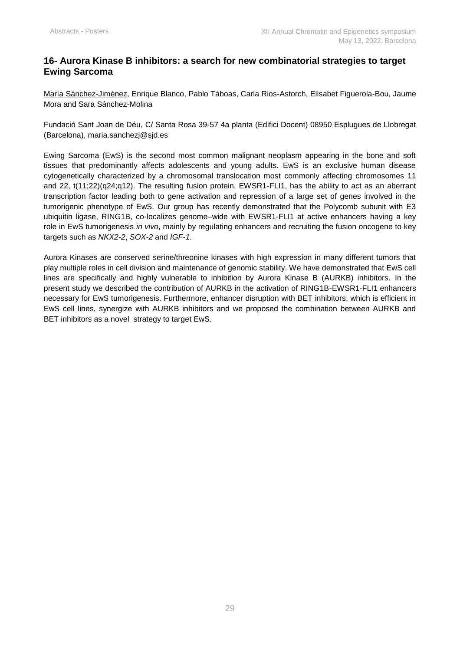## **16- Aurora Kinase B inhibitors: a search for new combinatorial strategies to target Ewing Sarcoma**

María Sánchez-Jiménez, Enrique Blanco, Pablo Táboas, Carla Rios-Astorch, Elisabet Figuerola-Bou, Jaume Mora and Sara Sánchez-Molina

Fundació Sant Joan de Déu, C/ Santa Rosa 39-57 4a planta (Edifici Docent) 08950 Esplugues de Llobregat (Barcelona), maria.sanchezj@sjd.es

Ewing Sarcoma (EwS) is the second most common malignant neoplasm appearing in the bone and soft tissues that predominantly affects adolescents and young adults. EwS is an exclusive human disease cytogenetically characterized by a chromosomal translocation most commonly affecting chromosomes 11 and 22, t(11;22)(q24;q12). The resulting fusion protein, EWSR1-FLI1, has the ability to act as an aberrant transcription factor leading both to gene activation and repression of a large set of genes involved in the tumorigenic phenotype of EwS. Our group has recently demonstrated that the Polycomb subunit with E3 ubiquitin ligase, RING1B, co-localizes genome–wide with EWSR1-FLI1 at active enhancers having a key role in EwS tumorigenesis *in vivo*, mainly by regulating enhancers and recruiting the fusion oncogene to key targets such as *NKX2-2*, *SOX-2* and *IGF-1*.

Aurora Kinases are conserved serine/threonine kinases with high expression in many different tumors that play multiple roles in cell division and maintenance of genomic stability. We have demonstrated that EwS cell lines are specifically and highly vulnerable to inhibition by Aurora Kinase B (AURKB) inhibitors. In the present study we described the contribution of AURKB in the activation of RING1B-EWSR1-FLI1 enhancers necessary for EwS tumorigenesis. Furthermore, enhancer disruption with BET inhibitors, which is efficient in EwS cell lines, synergize with AURKB inhibitors and we proposed the combination between AURKB and BET inhibitors as a novel strategy to target EwS.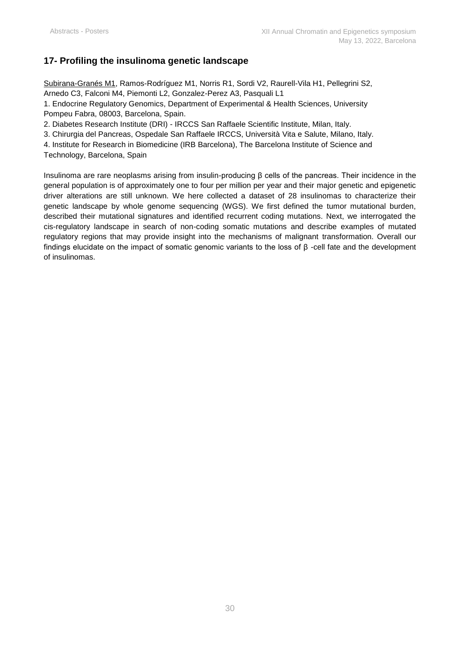## **17- Profiling the insulinoma genetic landscape**

Subirana-Granés M1, Ramos-Rodríguez M1, Norris R1, Sordi V2, Raurell-Vila H1, Pellegrini S2, Arnedo C3, Falconi M4, Piemonti L2, Gonzalez-Perez A3, Pasquali L1

1. Endocrine Regulatory Genomics, Department of Experimental & Health Sciences, University Pompeu Fabra, 08003, Barcelona, Spain.

2. Diabetes Research Institute (DRI) - IRCCS San Raffaele Scientific Institute, Milan, Italy.

3. Chirurgia del Pancreas, Ospedale San Raffaele IRCCS, Università Vita e Salute, Milano, Italy.

4. Institute for Research in Biomedicine (IRB Barcelona), The Barcelona Institute of Science and

Technology, Barcelona, Spain

Insulinoma are rare neoplasms arising from insulin-producing β cells of the pancreas. Their incidence in the general population is of approximately one to four per million per year and their major genetic and epigenetic driver alterations are still unknown. We here collected a dataset of 28 insulinomas to characterize their genetic landscape by whole genome sequencing (WGS). We first defined the tumor mutational burden, described their mutational signatures and identified recurrent coding mutations. Next, we interrogated the cis-regulatory landscape in search of non-coding somatic mutations and describe examples of mutated regulatory regions that may provide insight into the mechanisms of malignant transformation. Overall our findings elucidate on the impact of somatic genomic variants to the loss of β -cell fate and the development of insulinomas.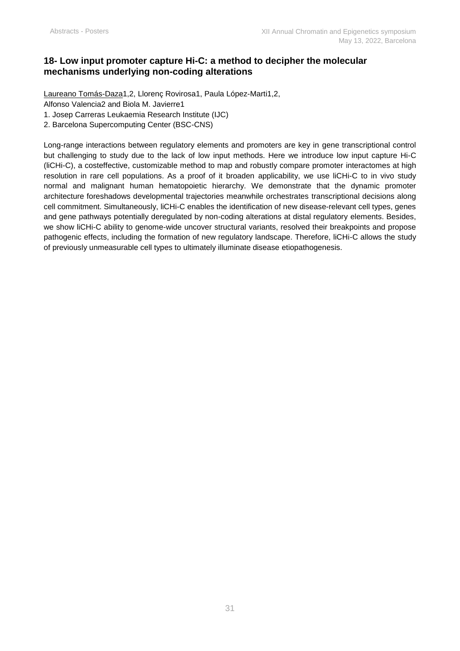## **18- Low input promoter capture Hi-C: a method to decipher the molecular mechanisms underlying non-coding alterations**

Laureano Tomás-Daza1,2, Llorenç Rovirosa1, Paula López-Marti1,2,

Alfonso Valencia2 and Biola M. Javierre1

1. Josep Carreras Leukaemia Research Institute (IJC)

2. Barcelona Supercomputing Center (BSC-CNS)

Long-range interactions between regulatory elements and promoters are key in gene transcriptional control but challenging to study due to the lack of low input methods. Here we introduce low input capture Hi-C (liCHi-C), a costeffective, customizable method to map and robustly compare promoter interactomes at high resolution in rare cell populations. As a proof of it broaden applicability, we use liCHi-C to in vivo study normal and malignant human hematopoietic hierarchy. We demonstrate that the dynamic promoter architecture foreshadows developmental trajectories meanwhile orchestrates transcriptional decisions along cell commitment. Simultaneously, liCHi-C enables the identification of new disease-relevant cell types, genes and gene pathways potentially deregulated by non-coding alterations at distal regulatory elements. Besides, we show liCHi-C ability to genome-wide uncover structural variants, resolved their breakpoints and propose pathogenic effects, including the formation of new regulatory landscape. Therefore, liCHi-C allows the study of previously unmeasurable cell types to ultimately illuminate disease etiopathogenesis.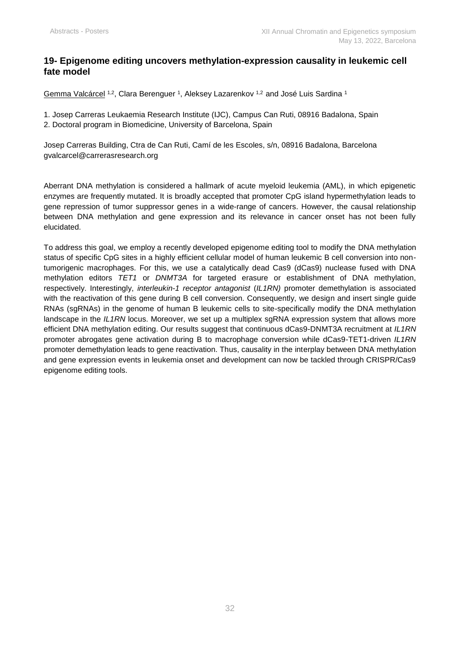## **19- Epigenome editing uncovers methylation-expression causality in leukemic cell fate model**

<u>Gemma Valcárcel 1,2,</u> Clara Berenguer 1, Aleksey Lazarenkov <sup>1,2</sup> and José Luis Sardina 1

1. Josep Carreras Leukaemia Research Institute (IJC), Campus Can Ruti, 08916 Badalona, Spain

2. Doctoral program in Biomedicine, University of Barcelona, Spain

Josep Carreras Building, Ctra de Can Ruti, Camí de les Escoles, s/n, 08916 Badalona, Barcelona [gvalcarcel@carrerasresearch.org](mailto:gvalcarcel@carrerasresearch.org)

Aberrant DNA methylation is considered a hallmark of acute myeloid leukemia (AML), in which epigenetic enzymes are frequently mutated. It is broadly accepted that promoter CpG island hypermethylation leads to gene repression of tumor suppressor genes in a wide-range of cancers. However, the causal relationship between DNA methylation and gene expression and its relevance in cancer onset has not been fully elucidated.

To address this goal, we employ a recently developed epigenome editing tool to modify the DNA methylation status of specific CpG sites in a highly efficient cellular model of human leukemic B cell conversion into nontumorigenic macrophages. For this, we use a catalytically dead Cas9 (dCas9) nuclease fused with DNA methylation editors *TET1* or *DNMT3A* for targeted erasure or establishment of DNA methylation, respectively. Interestingly, *interleukin-1 receptor antagonist* (*IL1RN)* promoter demethylation is associated with the reactivation of this gene during B cell conversion. Consequently, we design and insert single guide RNAs (sgRNAs) in the genome of human B leukemic cells to site-specifically modify the DNA methylation landscape in the *IL1RN* locus. Moreover, we set up a multiplex sgRNA expression system that allows more efficient DNA methylation editing. Our results suggest that continuous dCas9-DNMT3A recruitment at *IL1RN* promoter abrogates gene activation during B to macrophage conversion while dCas9-TET1-driven *IL1RN*  promoter demethylation leads to gene reactivation. Thus, causality in the interplay between DNA methylation and gene expression events in leukemia onset and development can now be tackled through CRISPR/Cas9 epigenome editing tools.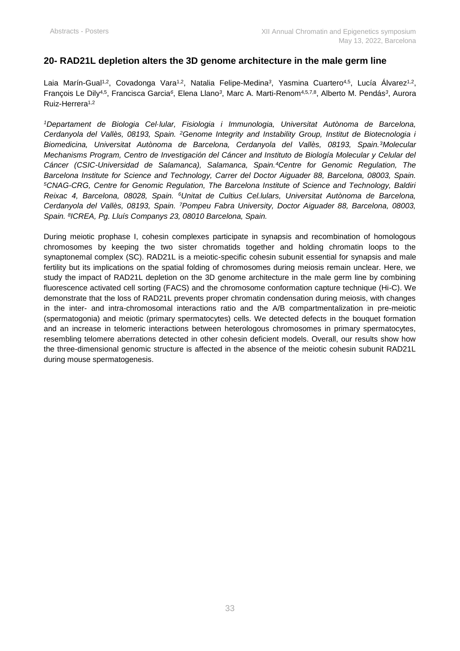## **20- RAD21L depletion alters the 3D genome architecture in the male germ line**

Laia Marín-Gual<sup>1,2</sup>, Covadonga Vara<sup>1,2</sup>, Natalia Felipe-Medina<sup>3</sup>, Yasmina Cuartero<sup>4,5</sup>, Lucía Alvarez<sup>1,2</sup>, François Le Dily<sup>4,5</sup>, Francisca Garcia<sup>6</sup>, Elena Llano<sup>3</sup>, Marc A. Marti-Renom<sup>4,5,7,8</sup>, Alberto M. Pendás<sup>3</sup>, Aurora Ruiz-Herrera<sup>1,2</sup>

*<sup>1</sup>Departament de Biologia Cel·lular, Fisiologia i Immunologia, Universitat Autònoma de Barcelona, Cerdanyola del Vallès, 08193, Spain. <sup>2</sup>Genome Integrity and Instability Group, Institut de Biotecnologia i Biomedicina, Universitat Autònoma de Barcelona, Cerdanyola del Vallès, 08193, Spain.<sup>3</sup>Molecular Mechanisms Program, Centro de Investigación del Cáncer and Instituto de Biología Molecular y Celular del Cáncer (CSIC-Universidad de Salamanca), Salamanca, Spain.<sup>4</sup>Centre for Genomic Regulation, The Barcelona Institute for Science and Technology, Carrer del Doctor Aiguader 88, Barcelona, 08003, Spain. <sup>5</sup>CNAG-CRG, Centre for Genomic Regulation, The Barcelona Institute of Science and Technology, Baldiri Reixac 4, Barcelona, 08028, Spain. <sup>6</sup>Unitat de Cultius Cel.lulars, Universitat Autònoma de Barcelona, Cerdanyola del Vallès, 08193, Spain. <sup>7</sup>Pompeu Fabra University, Doctor Aiguader 88, Barcelona, 08003, Spain. <sup>8</sup> ICREA, Pg. Lluís Companys 23, 08010 Barcelona, Spain.*

During meiotic prophase I, cohesin complexes participate in synapsis and recombination of homologous chromosomes by keeping the two sister chromatids together and holding chromatin loops to the synaptonemal complex (SC). RAD21L is a meiotic-specific cohesin subunit essential for synapsis and male fertility but its implications on the spatial folding of chromosomes during meiosis remain unclear. Here, we study the impact of RAD21L depletion on the 3D genome architecture in the male germ line by combining fluorescence activated cell sorting (FACS) and the chromosome conformation capture technique (Hi-C). We demonstrate that the loss of RAD21L prevents proper chromatin condensation during meiosis, with changes in the inter- and intra-chromosomal interactions ratio and the A/B compartmentalization in pre-meiotic (spermatogonia) and meiotic (primary spermatocytes) cells. We detected defects in the bouquet formation and an increase in telomeric interactions between heterologous chromosomes in primary spermatocytes, resembling telomere aberrations detected in other cohesin deficient models. Overall, our results show how the three-dimensional genomic structure is affected in the absence of the meiotic cohesin subunit RAD21L during mouse spermatogenesis.